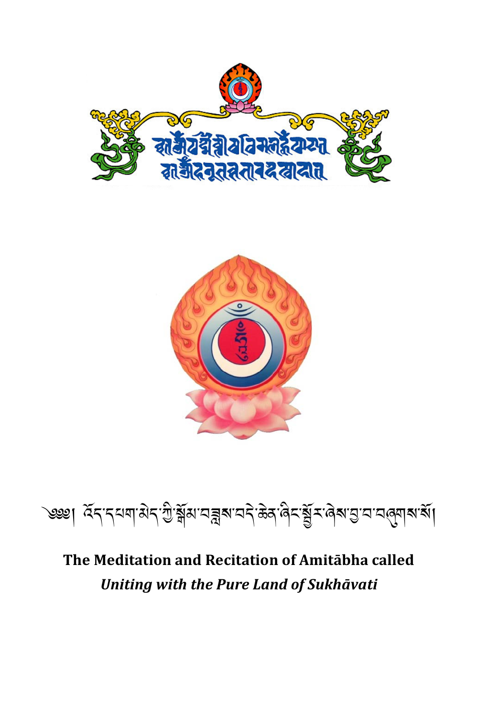



# <u>७३४</u>। देन नयवासेन ग्री क्षेत्र यह केवालेन क्षेत्र क्षेत्र पुरायात्रुवारा सा

### The Meditation and Recitation of Amitabha called Uniting with the Pure Land of Sukhāvati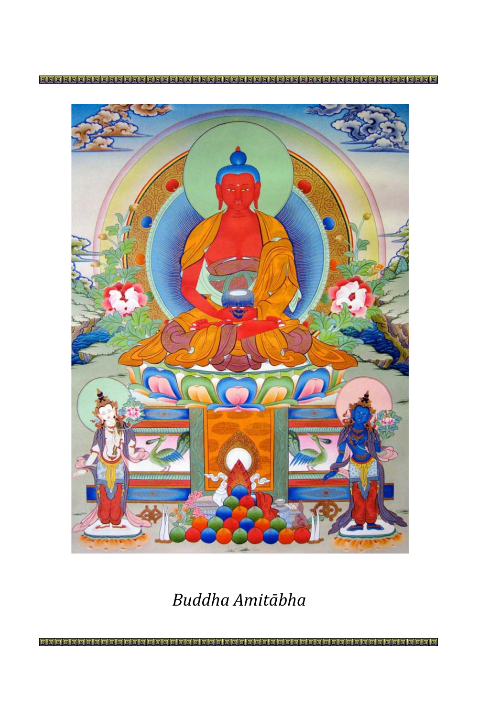

### *Buddha Amitābha*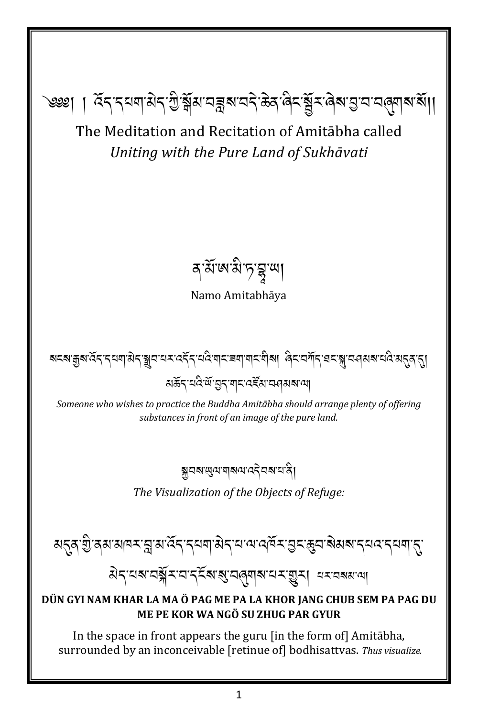The Meditation and Recitation of Amitabha called Uniting with the Pure Land of Sukhāvati

<u>ৼ</u>ৼৄয়ৗঢ়ড়য়ৼঢ়ড়ড়য়৸ঢ়ড়ড়য়৸ড়ড়য়৸ঀৼৼঀৗৼঀৼঀ৸ৼঀ

বর্মজামীত্বস্থা

Namo Amitabhāya

য়ঽয়ড়ৢয়৻ৼৄৼ৾৴ৼয়য়৻ঀৼ৾য়৸৻৸ৼ৻ৼৄৼ৾৴৻৻৻৻৻৸৸ৼয়৾য়৾৸৸৸৻৸ঀ৸৻৸৸৸৸৸ৼ৻৸৸৸৸ৼ৻৸৸৸৸৸৸৸৸৸৸৸৸৸৸৸৸ มส์รุ ผลิต สูร ตุ ผลัส ผลมา

Someone who wishes to practice the Buddha Amitābha should arrange plenty of offering substances in front of an image of the pure land.

য়ৢয়য়ড়ৢ৻য়ড়য়ড়৻৸ৼ৻৸ড়৸

The Visualization of the Objects of Refuge:

য়ৼৼঢ়ৼ৸ৼড়ৼৼ৻৸ৼৼ৻৸ৼ৻৸৸৸ৼঀৼ৸ৼ৻৸ৼ৸ৼ৸ৼ৸ৼ৸ৼ৸৸৸

#### DÜN GYI NAM KHAR LA MA Ö PAG ME PA LA KHOR JANG CHUB SEM PA PAG DU ME PE KOR WA NGÖ SU ZHUG PAR GYUR

In the space in front appears the guru [in the form of] Amitabha, surrounded by an inconceivable [retinue of] bodhisattvas. Thus visualize.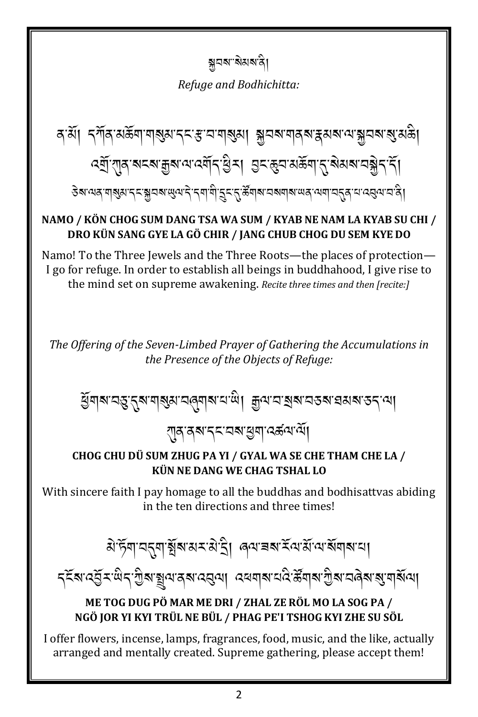ক্সবৰ"ৰ্মমৰানী

Refuge and Bodhichitta:

*डेबायव*.बाञ्चित्रा.रेट.क्सेंचबालीलारे.रेबी.बी.टॅट.रे.क्षूबोबा.चबबोबा.लर्थ.जबी.चर्टैर्य.च.प्र्वेल.च.पु

#### NAMO / KÖN CHOG SUM DANG TSA WA SUM / KYAB NE NAM LA KYAB SU CHI / DRO KÜN SANG GYE LA GÖ CHIR / JANG CHUB CHOG DU SEM KYE DO

Namo! To the Three Jewels and the Three Roots—the places of protection— I go for refuge. In order to establish all beings in buddhahood, I give rise to the mind set on supreme awakening. Recite three times and then [recite:]

The Offering of the Seven-Limbed Prayer of Gathering the Accumulations in the Presence of the Objects of Refuge:

ধ্রিমাঝ'নম্ভ'নুৰ'মাৰ্শ্বম'নৰ্মাৰ'ন'জী। ক্ৰুম'ন'মৰুৰ'নতৰ প্ৰমৰ'তন'মা

<sub>৻</sub>শৰ ৰশ বৃহ অৰু লীত কুৱা আৰু

#### CHOG CHU DÜ SUM ZHUG PA YI / GYAL WA SE CHE THAM CHE LA / KÜN NE DANG WE CHAG TSHAL LO

With sincere faith I pay homage to all the buddhas and bodhisattvas abiding in the ten directions and three times!

ঐ'ৰ্টমা'মনুমা য়ুঁৰ'মম'ম'ন্ৰী ৰেম'ৰৰ'ৰ্ম'ম'ম'ৰ্ম'মাৰ'মা

৴য়৸৻ঽ৾৴ৼঢ়৻৴৾ঀৢ৶৾য়৾৵৻৸৶৸ৼ৻৸৸৾৻৸৸৸৸৸৸৸৸৸৸৸৸৸৸৸৸৸৸৸৸৸৸৸

#### ME TOG DUG PÖ MAR ME DRI / ZHAL ZE RÖL MO LA SOG PA / NGÖ JOR YI KYI TRÜL NE BÜL / PHAG PE'I TSHOG KYI ZHE SU SÖL

I offer flowers, incense, lamps, fragrances, food, music, and the like, actually arranged and mentally created. Supreme gathering, please accept them!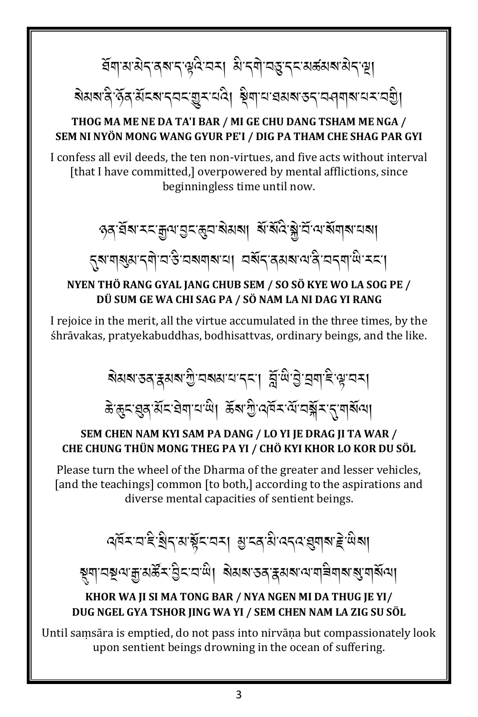ইমামস্টেন্স্মন্দ্ব্বিত্ৰমা মিন্মীত্ৰস্থাৰ স্বাস্থা

য়য়য়ৼঀৢ৻ড়ৢ৾ঀ৻য়ৢৼ৶ৼঀৼ৻য়৾ৼ৻ৼ৻ড়৸৸য়৸৸৸৸৸৸৸৸৸৸৸৸৸৸৸৸৸৸৸

#### THOG MA ME NE DA TA'I BAR / MI GE CHU DANG TSHAM ME NGA / SEM NI NYÖN MONG WANG GYUR PE'I / DIG PA THAM CHE SHAG PAR GYI

I confess all evil deeds, the ten non-virtues, and five acts without interval [that I have committed,] overpowered by mental afflictions, since beginningless time until now.

ওপ্ৰয়ে হয় আৰু প্ৰয়াৰ পৰা প্ৰয়োগ বুলি প্ৰয়ো

ह्रूया व्युत्राद्यो व उद्यव्यवाद्या वर्षे द्वावयवादी वदवाली उदा

#### NYEN THÖ RANG GYAL JANG CHUB SEM / SO SÖ KYE WO LA SOG PE / DÜ SUM GE WA CHI SAG PA / SÖ NAM LA NI DAG YI RANG

I rejoice in the merit, all the virtue accumulated in the three times, by the śhrāvakas, pratyekabuddhas, bodhisattvas, ordinary beings, and the like.

য়য়য়ৼঽঀৼঀয়৸য়ৣ৾ঢ়৸ড়৸৸৸৸৸৸৸৸৸৸৸৸৸৸৸৸৸৸

ङे ह्रूद: झुद:सेंद: चेबा'य'खे। ऊॅंबां ग्रु: 'यॉय्य ब्रॅंबा' द्रांबार्बाया

#### SEM CHEN NAM KYI SAM PA DANG / LO YI JE DRAG JI TA WAR / CHE CHUNG THÜN MONG THEG PA YI / CHÖ KYI KHOR LO KOR DU SÖL

Please turn the wheel of the Dharma of the greater and lesser vehicles, [and the teachings] common [to both,] according to the aspirations and diverse mental capacities of sentient beings.

ক্ষিমঘাই খ্ৰীন্মাৰ্শ্বনামৰ মুদ্ৰামী বন্দৰ মুনাৰা ইন্দ্ৰীৰা

#### KHOR WA JI SI MA TONG BAR / NYA NGEN MI DA THUG JE YI/ DUG NGEL GYA TSHOR JING WA YI / SEM CHEN NAM LA ZIG SU SÖL

Until samsāra is emptied, do not pass into nirvāna but compassionately look upon sentient beings drowning in the ocean of suffering.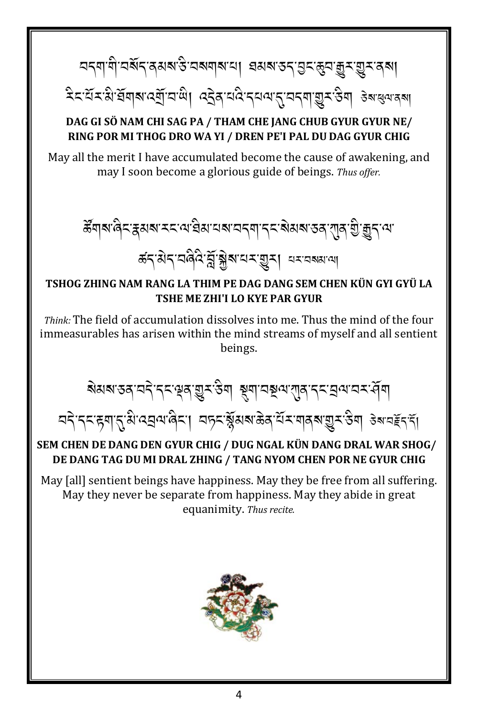নব্যাণী নৰ্থবৰেমৰ উদ্ৰম্যাৰ না। মনৰ উদ্ভিদ শ্ৰুম জুম জুম বৰা

देदसिरक्षे सेवाबादसिंघाले। दर्देवायदे दयवातु यदवा सुराउँवा उबाह्यवादबा

#### DAG GI SÖ NAM CHI SAG PA / THAM CHE JANG CHUB GYUR GYUR NE/ RING POR MI THOG DRO WA YI / DREN PE'I PAL DU DAG GYUR CHIG

May all the merit I have accumulated become the cause of awakening, and may I soon become a glorious guide of beings. Thus offer.

ढ़ऀ॔ॺऻॺॱढ़ॎ॓ॸॱॾॖॖॖॖॴख़ॱॸॸॱॴख़ॴख़ॴख़ॷॷॷॴख़ॷॎॱख़ॷ क्ष्दाशेदाववैदे ब्रुंञ्जेबायमञ्जूषा यमवन्नाया

#### TSHOG ZHING NAM RANG LA THIM PE DAG DANG SEM CHEN KÜN GYI GYÜ LA TSHE ME ZHI'I LO KYE PAR GYUR

*Think:* The field of accumulation dissolves into me. Thus the mind of the four immeasurables has arisen within the mind streams of myself and all sentient beings.

য়য়য়ৼঽৼঢ়ৼ৻ৼ৾ৼৼড়৶ড়ৗৼ৻ড়য়৾য়য়ড়৸ৼড়ড়৻ড়৸ৼৼড়ড়৸ড়ৼৼ৻য়

### নব'ৰব'ৰুমাৰ্থে'ৰেন্ত্ৰৰ'ৰিব'। বদুৰ'ৰ্শ্পৰাজ্ঞৰ'ৰ্শ্মৰ'মান্ত্ৰৰ'ৰী ৰুমন্ত্ৰইৰি SEM CHEN DE DANG DEN GYUR CHIG / DUG NGAL KÜN DANG DRAL WAR SHOG/

# DE DANG TAG DU MI DRAL ZHING / TANG NYOM CHEN POR NE GYUR CHIG

May [all] sentient beings have happiness. May they be free from all suffering. May they never be separate from happiness. May they abide in great equanimity. Thus recite.

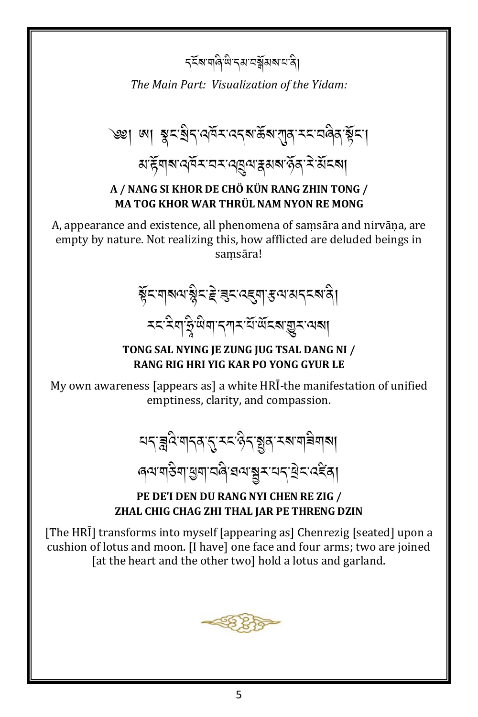*ร*รัฐ ตุสิชิ รุส สุสัมรายสิ

The Main Part: Visualization of the Yidam:

৩খ। আ স্থুন'ষ্ট্ৰন'ন্নক্ৰ'ৰ্ক্কৰ'য়া্ন'মন'ন্নৰ্ন্ন'ৰ্ক্কন'। য়ৼৢয়৶য়ড়৻ৼৼৼৼ৻ড়ঀ৻য়ৼঀ৻ৼ৻৻ঀৣৼ৻ৼ৻ৼ৻ঀ৻

#### A / NANG SI KHOR DE CHÖ KÜN RANG ZHIN TONG / MA TOG KHOR WAR THRÜL NAM NYON RE MONG

A, appearance and existence, all phenomena of samsāra and nirvāna, are empty by nature. Not realizing this, how afflicted are deluded beings in samsāra!

*भूँ*दणबल् श्लैद हे बुदल्ह्या हव्य अन्दबन्धी **মহামিত্ৰাইজুল্লাৰ প্ৰতিষ্**ঠা বিদ্যালয় কৰি কৰি বিদ্যা

#### TONG SAL NYING JE ZUNG JUG TSAL DANG NI / **RANG RIG HRI YIG KAR PO YONG GYUR LE**

My own awareness [appears as] a white HRI-the manifestation of unified emptiness, clarity, and compassion.

<u>यदञ्जदेश्वद् रद्ददञ्जदञ्जलस्य बन्ना</u>

*෧*ॺॱॺऻड़ऀॺॱॖॷॺॱय़ॺऀॱॿॺॱॺॗॸॱय़ॸॱ॒ऄ॒ॸॱढ़ड़ऀॺऻ

#### PE DE'I DEN DU RANG NYI CHEN RE ZIG / ZHAL CHIG CHAG ZHI THAL JAR PE THRENG DZIN

[The HRI] transforms into myself [appearing as] Chenrezig [seated] upon a cushion of lotus and moon. [I have] one face and four arms; two are joined [at the heart and the other two] hold a lotus and garland.

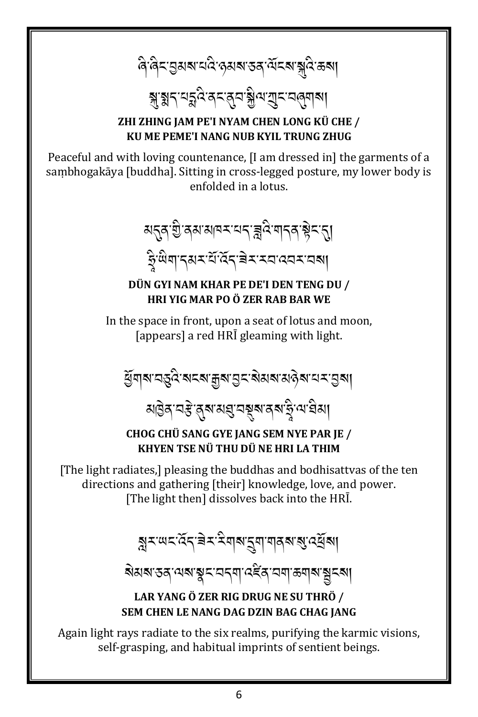ৰি ৰিম্ভৰুমৰ মন্ত্ৰি কৰাৰ স্বৰ মিম্পুৰি কৰা

# য়য়ঀৼঀৡ৻ঽড়ৼ৻ড়৸য়ৣ৾৻<sub>৸</sub>য়ৗৼড়৻ড়য়৶

#### ZHI ZHING JAM PE'I NYAM CHEN LONG KÜ CHE / KU ME PEME'I NANG NUB KYIL TRUNG ZHUG

Peaceful and with loving countenance, [I am dressed in] the garments of a sambhogakāya [buddha]. Sitting in cross-legged posture, my lower body is enfolded in a lotus.

য়ৼড়৻য়ৣ<sub>৾</sub>ড়৸ড়৸ড়ৼৼঢ়৻৾৾ৼঢ়ঢ়৸ড়৻ড়৾ৼৼ৻য় ङ्गुलिया तथर संख्या बेरारवादवर वया

#### DÜN GYI NAM KHAR PE DE'I DEN TENG DU / **HRI YIG MAR PO Ö ZER RAB BAR WE**

In the space in front, upon a seat of lotus and moon, [appears] a red HRI gleaming with light.

*ୱି* गब चङ्छे बदब मुब चुद बेसब सक्ने बाद मुबा

য়৾৾ৣঀ৾ৼঀৼৣ৾ঀৼ৸য়ঀৢৼড়য়ৼ৻ড়৻৸ড়ৢ৸

CHOG CHÜ SANG GYE IANG SEM NYE PAR IE / KHYEN TSE NÜ THU DÜ NE HRI LA THIM

[The light radiates,] pleasing the buddhas and bodhisattvas of the ten directions and gathering [their] knowledge, love, and power. [The light then] dissolves back into the HRI.

য়ৢ৲<sup>৻</sup>ড়ৼ৻ঽৼৼয়য়য়ৼৢয়ৼঢ়৸ড়৻ড়ড়য়

য়য়য়ৼড়ঀ৻৸য়ৼৢয়ৼৼঀঀঀৗ৻৻ৼ৻৸ৼ৻৸য়৸ড়য়৸৻য়

#### LAR YANG Ö ZER RIG DRUG NE SU THRÖ / SEM CHEN LE NANG DAG DZIN BAG CHAG IANG

Again light rays radiate to the six realms, purifying the karmic visions, self-grasping, and habitual imprints of sentient beings.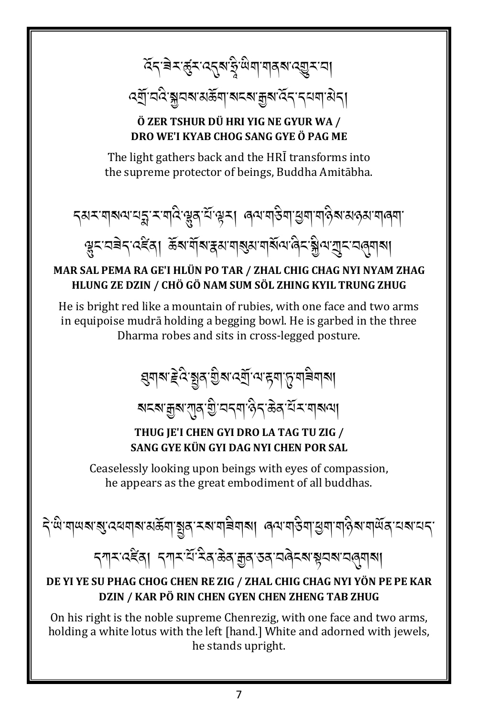ढ़ॕॸॱॿॆॸॱक़ॗ॔ॸॱढ़ॸॣॺॱक़ॗऀॱऀॺऀॺऻॱॺऻॿॺॱढ़ॿॗॸॱय़ऻ

*ঽ*ॺॖॕॱয়ঽৼয়ৣয়য়ৼয়ড়য়৸ৼৼৼৼড়৸ৼ৻ৼঀৼ৸ৼড়৸

#### ÖZER TSHUR DÜ HRI YIG NE GYUR WA / DRO WE'I KYAB CHOG SANG GYE Ö PAG ME

The light gathers back and the HRI transforms into the supreme protector of beings, Buddha Amitabha.

$$
\textit{small} \textit{small} \textit{small} \textit{small} \textit{small} \textit{small} \textit{small} \textit{small} \textit{small} \textit{small} \textit{small} \textit{small} \textit{small} \textit{small} \textit{small} \textit{small} \textit{small} \textit{small} \textit{small} \textit{small} \textit{small} \textit{small} \textit{small} \textit{small} \textit{small} \textit{small} \textit{small} \textit{small} \textit{small} \textit{small} \textit{small} \textit{small} \textit{small} \textit{small} \textit{small} \textit{small} \textit{small} \textit{small} \textit{small} \textit{small} \textit{small} \textit{small} \textit{small} \textit{small} \textit{small} \textit{small} \textit{small} \textit{small} \textit{small} \textit{small} \textit{small} \textit{small} \textit{small} \textit{small} \textit{small} \textit{small} \textit{small} \textit{small} \textit{small} \textit{small} \textit{small} \textit{small} \textit{small} \textit{small} \textit{small} \textit{small} \textit{small} \textit{small} \textit{small} \textit{small} \textit{small} \textit{small} \textit{small} \textit{small} \textit{small} \textit{small} \textit{small} \textit{small} \textit{small} \textit{small} \textit{small} \textit{small} \textit{small} \textit{small} \textit{small} \textit{small} \textit{small} \textit{small} \textit{small} \textit{small} \textit{small} \textit{small} \textit{small} \textit{small} \textit{small} \textit{small} \textit{small} \textit{small} \textit{small} \textit{small} \textit{small} \textit{small} \textit{small} \textit{small} \textit{small} \textit{small} \textit{small} \textit{small} \textit{small} \textit{small} \textit{small} \textit{small} \textit{small} \textit{small} \textit{small} \textit{small} \textit{small} \textit{small} \textit{small} \textit{small} \textit{small} \textit{small} \textit{small} \textit{small} \textit{small} \textit{small} \textit
$$

ৠৢৼৼঽৗঀৼ৻ৼৢৼৄৢৼৄৼৄৼৄৼৄৼৢৼ৻৸য়৸ৼঀৼ৻৸৸৸ৼঀ৸ৼঀৢ৻৸৻৸ৼ৻ড়৸৻৸৻

#### MAR SAL PEMA RA GE'I HLÜN PO TAR / ZHAL CHIG CHAG NYI NYAM ZHAG HLUNG ZE DZIN / CHÖ GÖ NAM SUM SÖL ZHING KYIL TRUNG ZHUG

He is bright red like a mountain of rubies, with one face and two arms in equipoise mudrā holding a begging bowl. He is garbed in the three Dharma robes and sits in cross-legged posture.

য়৸য়ৼ৻ড়৸য়ঀৗৢয়৻ৼয়ৗৢ৻৸৻ৼয়ৗ৻ঀয়৾য়য়য়

য়ৼয়ৼয়ৣয়ৼয়ৣঀৼড়ৢ৾ৼঀৼঀ৻ড়ৢৼ৻ড়ঀৼ৻ড়৻৸

#### THUG JE'I CHEN GYI DRO LA TAG TU ZIG / SANG GYE KÜN GYI DAG NYI CHEN POR SAL

Ceaselessly looking upon beings with eyes of compassion, he appears as the great embodiment of all buddhas.

दे শ্রমান স্বার্থে বের বার্ম সর্জনা মুদ্র মহা নবিমান। কমানস্তিনা রিমান বিষা নবিমান বা

*ॸ*ग़ॸॱढ़ॾऀढ़ऻॱॸज़ॸॱय़ॱऀॸऀढ़ॱऄढ़ॱक़ॗढ़ॱॶढ़ॱय़ढ़ॆॸॺॱॺॢय़ॺॱय़ख़ॣॺऻॺऻ

#### DE YI YE SU PHAG CHOG CHEN RE ZIG / ZHAL CHIG CHAG NYI YÖN PE PE KAR DZIN / KAR PÖ RIN CHEN GYEN CHEN ZHENG TAB ZHUG

On his right is the noble supreme Chenrezig, with one face and two arms, holding a white lotus with the left [hand.] White and adorned with jewels, he stands upright.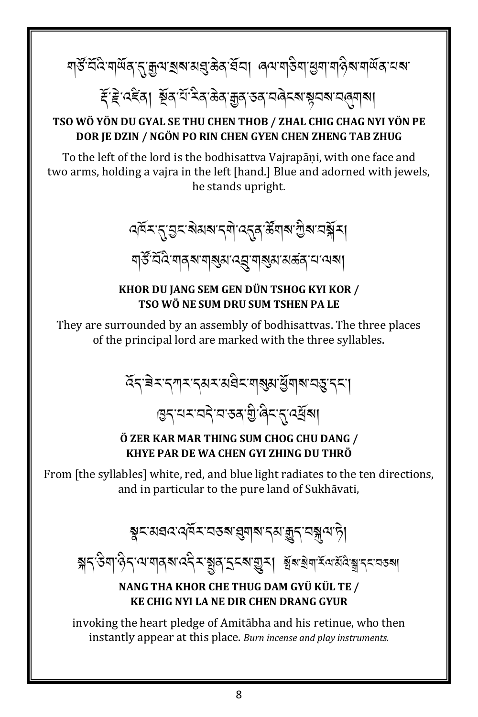ই ই'বইব। য়ুঁৰ'শীমিৰ'উৰ'ব্ৰুৰ'তৰ'মণ্ট্ৰম'য়ুমম'মন্ত্ৰামা

#### TSO WÖ YÖN DU GYAL SE THU CHEN THOB / ZHAL CHIG CHAG NYI YÖN PE DOR IE DZIN / NGÖN PO RIN CHEN GYEN CHEN ZHENG TAB ZHUG

To the left of the lord is the bodhisattva Vajrapāṇi, with one face and two arms, holding a vajra in the left [hand.] Blue and adorned with jewels, he stands upright.

ঐৰ্যন্তুমৰ মানুষ্টাৰ্য কৰি আৰু বিদ্যালয়ৰ বি

য়৳ৼৼ৻ৼ৸ঀৼ৸ৼ৸ঀয়৸ৼ৻ৼ৻

#### KHOR DU JANG SEM GEN DÜN TSHOG KYI KOR / TSO WÖ NE SUM DRU SUM TSHEN PA LE

They are surrounded by an assembly of bodhisattvas. The three places of the principal lord are marked with the three syllables.

#### Ö ZER KAR MAR THING SUM CHOG CHU DANG / KHYE PAR DE WA CHEN GYI ZHING DU THRÖ

From [the syllables] white, red, and blue light radiates to the ten directions, and in particular to the pure land of Sukhāvati.

য়ৢৼয়য়ঽ৻ঀ৾ঽৼৼঽয়ৼৢয়য়ৼঀয়ড়ৢঀৼয়ৣঀ৾৻ঀৢ

য়ৼ৻ড়ৢৢৢ৸৻ড়ৢ৴৻৸৻য়৾ঀৼ৻ড়ৼৢৼ৻য়ঀ৾ৼয়ৼঢ়ঀৗৼ৻৸য়ড়৸ৼৢ৻৸৻৸৻৸৸৸৸

#### NANG THA KHOR CHE THUG DAM GYÜ KÜL TE / **KE CHIG NYI LA NE DIR CHEN DRANG GYUR**

invoking the heart pledge of Amitabha and his retinue, who then instantly appear at this place. Burn incense and play instruments.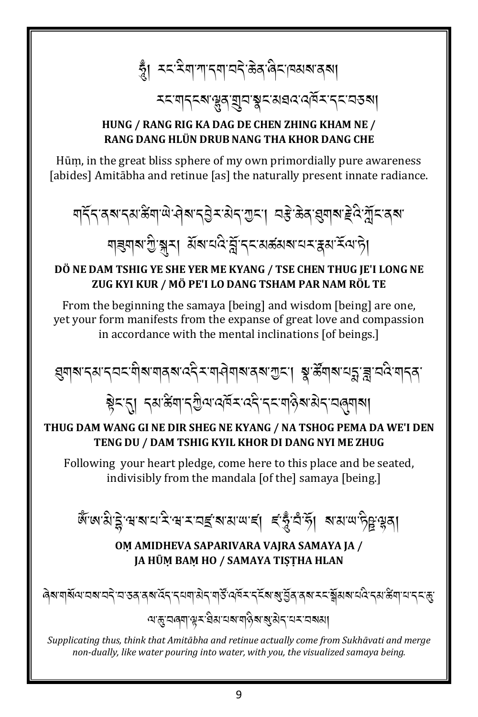#### HUNG / RANG RIG KA DAG DE CHEN ZHING KHAM NE / **RANG DANG HLÜN DRUB NANG THA KHOR DANG CHE**

Hūm, in the great bliss sphere of my own primordially pure awareness [abides] Amitabha and retinue [as] the naturally present innate radiance.

<u> बार्देन वहा दयाङ्कर्याला सेवा रत्रिमाञ्रमा अस्ति अधिकार्यम् पुरुष्ये प्रीमाञ्च्या</u> ণাৰ্ণৰাত্মীস্কা মিৰামন্ত্ৰী বিশেষ প্ৰস্কাৰ প্ৰয়ো

#### DÖ NE DAM TSHIG YE SHE YER ME KYANG / TSE CHEN THUG JE'I LONG NE ZUG KYI KUR / MÖ PE'I LO DANG TSHAM PAR NAM RÖL TE

From the beginning the samaya [being] and wisdom [being] are one, vet your form manifests from the expanse of great love and compassion in accordance with the mental inclinations [of beings.]

ह्मे< तु । दबाङ्गयाद्युत्पादमॅराददे दरायाद्रैबाठ्यदावलुबाबा

#### THUG DAM WANG GI NE DIR SHEG NE KYANG / NA TSHOG PEMA DA WE'I DEN TENG DU / DAM TSHIG KYIL KHOR DI DANG NYI ME ZHUG

Following your heart pledge, come here to this place and be seated, indivisibly from the mandala [of the] samaya [being.]

জুঁজগুউ়ন্দৰান্দ্ৰ সমৰ্থিকা আৰু বিষ্টুদুৰ পূৰ্ব কৰা

#### OM AMIDHEVA SAPARIVARA VAJRA SAMAYA JA / JA HŪM BAM HO / SAMAYA TISTHA HLAN

<u>য়ড়৾য়ড়৶ঢ়ৗৼ৻ৼ</u>ৣৼ৻ৼৢয়৸ৼ৸ড়ড়ৢ৻৸ৼ৻ৼ৸ৼ৻৸৶৸

Supplicating thus, think that Amitābha and retinue actually come from Sukhāvati and merge non-dually, like water pouring into water, with you, the visualized samaya being.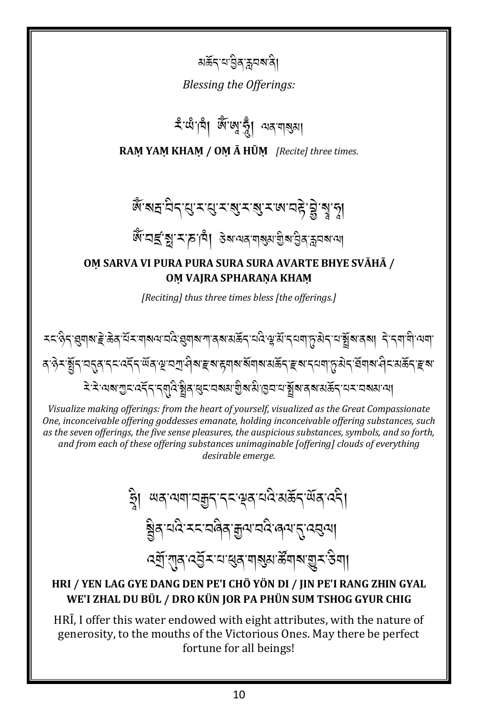য়র্ক্রন'য'ট্রিস্ক্লবম'ৰী।

Blessing the Offerings:

হ'থাঁ'বি। জৈজে'ত্ম অৰ'মৰ্থা

RAM YAM KHAM / OM Ā HŪM [Recite] three times.

## জ্ঞান নিশ্ন বন্ধ ৰাজ্যৰ জনাত দুৰ্বীৰ্থ ন

ধ্যু শ্ৰহ্ৰ, স্নীমে, প্ৰাৰ্থ প্ৰাৰ্থ প্ৰাৰ্থ প্ৰাৰ্থ স্নীৰ স্নীৰ স্নীৰ প্ৰাৰ্থ

#### OM SARVA VI PURA PURA SURA SURA AVARTE BHYE SVĀHĀ / OM VAJRA SPHARANA KHAM

[Reciting] thus three times bless [the offerings.]

द′9ेरॱर्ड्सेन्′यनुत्'न्न्द्र्'दर्न्स्'सॅब्'भ्'यगु'सेब'ङ्ब'ह्वाब'बॅगब'सऊॅन्'ङ्ब'न्यग्'प्तुःसेन्'र्वेगब'सेन्द्रसङ्ब *ঽ৾<sup>৻</sup>ঽ৾ॱ*ঀয়৾৾*য়ৣ৲৻ঽ৾ঀৼঀয়৾ঀ৾য়ৢয়ৼয়৸য়য়৾য়ৣয়ৼয়ড়য়*৻য়৸ৼঢ়৸ৼঢ়ঢ়ঢ়৸ৼঢ়৸৸৸

Visualize making offerings: from the heart of yourself, visualized as the Great Compassionate One, inconceivable offering goddesses emanate, holding inconceivable offering substances, such as the seven offerings, the five sense pleasures, the auspicious substances, symbols, and so forth, and from each of these offering substances unimaginable [offering] clouds of everything desirable emerae.

> <u>ब्</u>लेत् चंद्रे रूट चलेत् क्रुय चंद्रे लव्ण ह्रु दसुत्या *ঽ*ঀৗ৾<sup>৻</sup>৻ঀৗৢঀ৾*৻ঽ*ঀৣঽ৾ৼয়৻য়ঀ৶য়ঀয়৻য়৸৻ৼঀৗ৻

#### HRI / YEN LAG GYE DANG DEN PE'I CHÖ YÖN DI / JIN PE'I RANG ZHIN GYAL WE'I ZHAL DU BÜL / DRO KÜN JOR PA PHÜN SUM TSHOG GYUR CHIG

HRI, I offer this water endowed with eight attributes, with the nature of generosity, to the mouths of the Victorious Ones. May there be perfect fortune for all beings!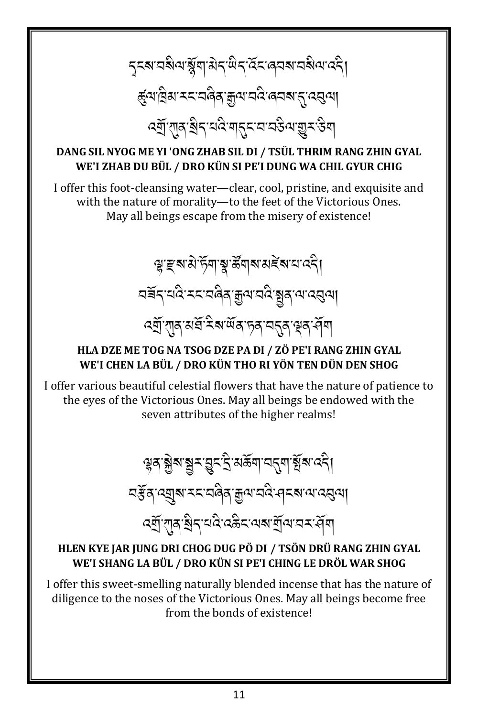ॸॸ**ॺॱ**य़ॺऀॺॱॺॢॕॺॱऄॸॱ<sup>ऴ</sup>ॸॱढ़ॕॸॱढ़य़ॺॱय़ॺऀॺॱढ़ॸऀॗ ङ्ग्याविद्यास्त्रायविदाङ्ग्रन्थायदिः ब्**यबाद्**तद्वया 

#### DANG SIL NYOG ME YI 'ONG ZHAB SIL DI / TSÜL THRIM RANG ZHIN GYAL WE'I ZHAB DU BÜL / DRO KÜN SI PE'I DUNG WA CHIL GYUR CHIG

I offer this foot-cleansing water—clear, cool, pristine, and exquisite and with the nature of morality-to the feet of the Victorious Ones. May all beings escape from the misery of existence!

> ৠৼয়য়৾ড়য়ৠয়য়য়ঢ়ড়য়ৼঢ়৻ড়<mark>৻</mark> <u> বৰ্ষ</u>ন বৰ্ত্ত সমান্ত্ৰী আৰু বিভিন্ন বিভিন্ন বিভিন্ন বিভিন্ন বিভিন্ন বিভিন্ন বিভিন্ন বিভিন্ন বিভিন্ন বিভিন্ন ব

#### HLA DZE ME TOG NA TSOG DZE PA DI / ZÖ PE'I RANG ZHIN GYAL WE'I CHEN LA BÜL / DRO KÜN THO RI YÖN TEN DÜN DEN SHOG

I offer various beautiful celestial flowers that have the nature of patience to the eyes of the Victorious Ones. May all beings be endowed with the seven attributes of the higher realms!

> ড়ঌ৻ৠ৶য়ৼড়ৼ৻ৼৣৼ৻ৼৣৼ৻ৼৢ৻ৼ৻ৼ৻ৼ৻৸৻ৼ৻৸৻ৼ৻৸ नईन त्युब रत्यवैव क्रुय वर्दन बला तत्र <u>द्भ</u>ीं शुव श्रेद चंद्रे दऊैद वश्य में बाय वर सेंग

#### HLEN KYE JAR JUNG DRI CHOG DUG PÖ DI / TSÖN DRÜ RANG ZHIN GYAL WE'I SHANG LA BÜL / DRO KÜN SI PE'I CHING LE DRÖL WAR SHOG

I offer this sweet-smelling naturally blended incense that has the nature of diligence to the noses of the Victorious Ones. May all beings become free from the bonds of existence!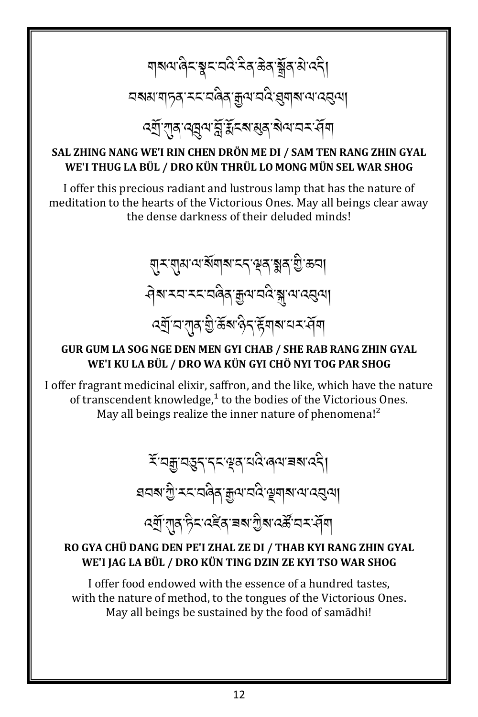द्या राव वह या चे से स्वालय में बा

#### SAL ZHING NANG WE'I RIN CHEN DRÖN ME DI / SAM TEN RANG ZHIN GYAL WE'I THUG LA BÜL / DRO KÜN THRÜL LO MONG MÜN SEL WAR SHOG

I offer this precious radiant and lustrous lamp that has the nature of meditation to the hearts of the Victorious Ones. May all beings clear away the dense darkness of their deluded minds!

> য়ৢ৲য়ৢয়ড়ড়য়য়৸ৼৼৼড়য়ড়ৢয়৻য়৻ <u> จุล รย ระยุตุล มีตอรู มีตรร</u>

#### GUR GUM LA SOG NGE DEN MEN GYI CHAB / SHE RAB RANG ZHIN GYAL WE'I KU LA BÜL / DRO WA KÜN GYI CHÖ NYI TOG PAR SHOG

I offer fragrant medicinal elixir, saffron, and the like, which have the nature of transcendent knowledge,<sup>1</sup> to the bodies of the Victorious Ones. May all beings realize the inner nature of phenomena!<sup>2</sup>

> ই অক্কুন্দ্ৰ সম্পৰ্ক অধি ৰেনাৰ মান্ত্ৰী হাবৰাত্ৰী:*ম*াব্ৰৰীয় শ্ৰীৰাৱ্যৰ ক্ৰীৰাজ্যৰ প্ৰবিদ্ৰা

#### RO GYA CHÜ DANG DEN PE'I ZHAL ZE DI / THAB KYI RANG ZHIN GYAL WE'I JAG LA BÜL / DRO KÜN TING DZIN ZE KYI TSO WAR SHOG

I offer food endowed with the essence of a hundred tastes, with the nature of method, to the tongues of the Victorious Ones. May all beings be sustained by the food of samadhi!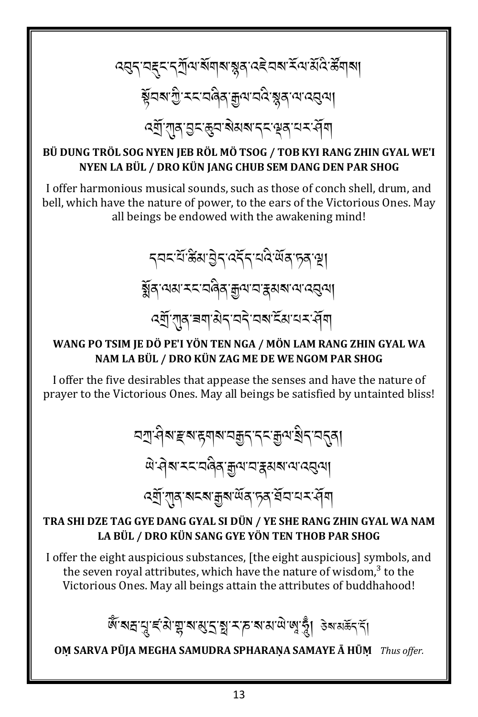*द*तुन् बहुन् नूर्गुत्य बेंगबा ब्लूव दहेवब में बाउँदि र्हेगबा য়ৄয়য়ৼঢ়ৢ৾ৼৼৼয়ড়ঀৼড়৸ৼঀড়ৼয়ঀ৾ৼঀ৻ द्युत् राव सुरुद्धय बेसब दर सूव यस सें बा

#### BÜ DUNG TRÖL SOG NYEN JEB RÖL MÖ TSOG / TOB KYI RANG ZHIN GYAL WE'I NYEN LA BÜL / DRO KÜN JANG CHUB SEM DANG DEN PAR SHOG

I offer harmonious musical sounds, such as those of conch shell, drum, and bell, which have the nature of power, to the ears of the Victorious Ones. May all beings be endowed with the awakening mind!

> *ॸ*य़ॸॱय़ऀॱऀऄॵऄॖॸॱढ़ड़ॕॸॱय़ढ़ऀॱॺऀॹॱॸॖॺॱॺॗऻ ક્ર્રેં વાચા મદાવેલે મુના વારૂચા વાયરલા

#### WANG PO TSIM JE DÖ PE'I YÖN TEN NGA / MÖN LAM RANG ZHIN GYAL WA NAM LA BÜL / DRO KÜN ZAG ME DE WE NGOM PAR SHOG

I offer the five desirables that appease the senses and have the nature of prayer to the Victorious Ones. May all beings be satisfied by untainted bliss!

> <u>¤শুধিৰা ইৰাইনৰ প্ৰমণ্ড বিদ্যালয়ৰ বিধি</u> ติ สุส ระสดิส สูต สรมสาขาสุข <mark>ঽ</mark>ঀॖॕॱग़ॺॱॺॸॺॱक़ॗॺॱ<sup>ॶ</sup>ॺॱॸॺॱॺॕॸॱॸॸॱग़ॕॺ

#### TRA SHI DZE TAG GYE DANG GYAL SI DÜN / YE SHE RANG ZHIN GYAL WA NAM LA BÜL / DRO KÜN SANG GYE YÖN TEN THOB PAR SHOG

I offer the eight auspicious substances, [the eight auspicious] symbols, and the seven royal attributes, which have the nature of wisdom,<sup>3</sup> to the Victorious Ones. May all beings attain the attributes of buddhahood!

ণু প্ৰায় দ্ৰাপ্ৰাৰ্থ পৰি ক্ৰী কৰা প্ৰাৰ্থ কৰা প্ৰয়ৰ্ত্ত কৰা প্ৰাৰ্থ কৰা প্ৰাৰ্থ কৰা প্ৰাৰ্থ কৰা প

OM SARVA PŪJA MEGHA SAMUDRA SPHARANA SAMAYE Ā HŪM Thus offer.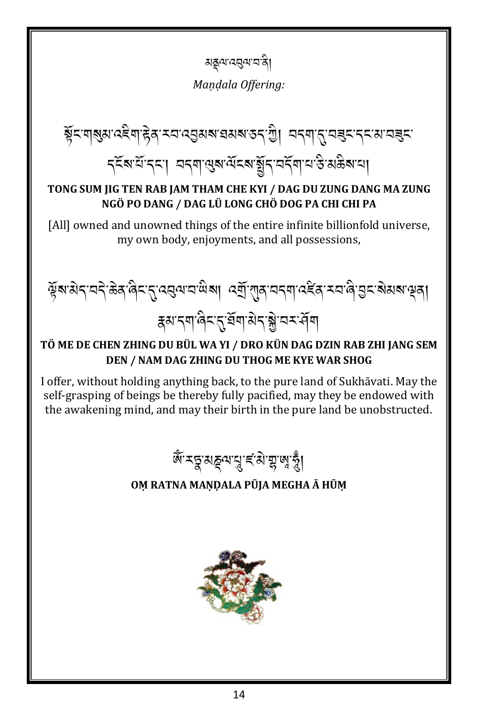য়য়ৄৢয়৻ৼঀয়৸

Mandala Offering:

য়ৢ৾ৼৼঀৠয়ৼ৻ঽৼঀ৾ৼড়ঀৼয়ৼ৻ড়ঀ৸ৼ৻ড়ঀ৸ৼ৻ড়৸ৼঀ৻ৼ৻ড়৸ৼ৻ৼঀৼ৸ৼ৻ৼ৻৸ৼৼৼ৻৸ รุรัส มัรรา ผรุต ผูล ผัรส สู้ราสรัต ม ริมลิส ม

#### TONG SUM JIG TEN RAB JAM THAM CHE KYI / DAG DU ZUNG DANG MA ZUNG NGÖ PO DANG / DAG LÜ LONG CHÖ DOG PA CHI CHI PA

[All] owned and unowned things of the entire infinite billionfold universe, my own body, enjoyments, and all possessions,



#### TÖ ME DE CHEN ZHING DU BÜL WA YI / DRO KÜN DAG DZIN RAB ZHI JANG SEM DEN / NAM DAG ZHING DU THOG ME KYE WAR SHOG

I offer, without holding anything back, to the pure land of Sukhāvati. May the self-grasping of beings be thereby fully pacified, may they be endowed with the awakening mind, and may their birth in the pure land be unobstructed.



#### OM RATNA MANDALA PŪJA MEGHA Ā HŪM

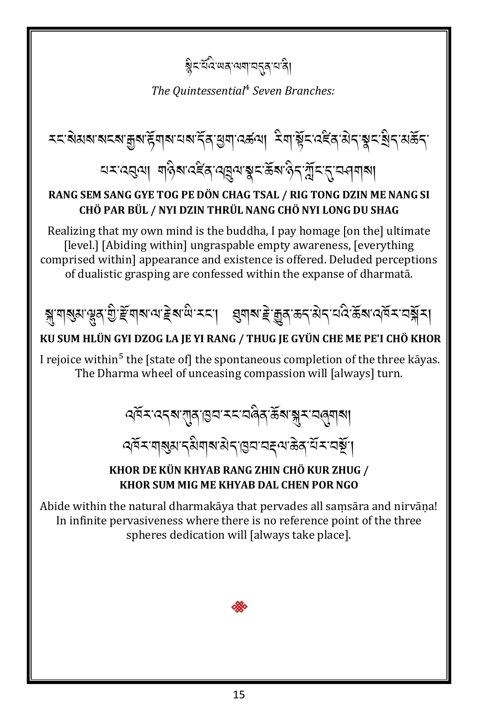### য়ৢৼয়ঽৼড়৸ড়৻ড়৸ৼঢ়ড়৻

The Quintessential<sup>4</sup> Seven Branches:

### ঘম হেন্ত্ৰণ। শন্তিৰ হেইন ব্ৰন্নুন স্কুম ক্টন স্মুম নুমন বাৰাৰ

#### RANG SEM SANG GYE TOG PE DÖN CHAG TSAL / RIG TONG DZIN ME NANG SI CHÖ PAR BÜL / NYI DZIN THRÜL NANG CHÖ NYI LONG DU SHAG

Realizing that my own mind is the buddha, I pay homage [on the] ultimate [level.] [Abiding within] ungraspable empty awareness, [everything] comprised within] appearance and existence is offered. Deluded perceptions of dualistic grasping are confessed within the expanse of dharmata.



#### KU SUM HLÜN GYI DZOG LA JE YI RANG / THUG JE GYÜN CHE ME PE'I CHÖ KHOR

I rejoice within<sup>5</sup> the [state of] the spontaneous completion of the three kayas. The Dharma wheel of unceasing compassion will [always] turn.



#### KHOR DE KÜN KHYAB RANG ZHIN CHÖ KUR ZHUG / KHOR SUM MIG ME KHYAB DAL CHEN POR NGO

Abide within the natural dharmakāya that pervades all samsāra and nirvāna! In infinite pervasiveness where there is no reference point of the three spheres dedication will [always take place].

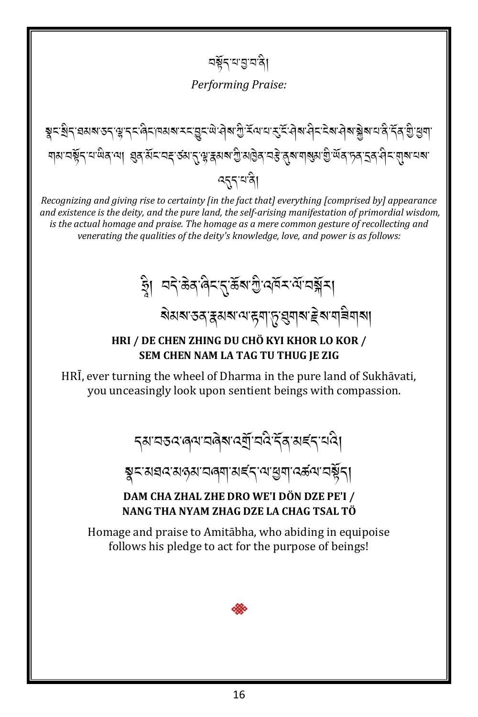নৰ্শ্ননামুননী

**Performing Praise:** 

য়য়ৼঢ়ৼৗৼ৻ড়ৢ৻ৼ৻৸৸ড়ঀৼ৻ড়ৼ৻ঽ৸ৼঀৼ৻৸ৼ৻ড়৻ড়৸ড়ঢ়৸ড়৻৸ড়৻৸ড়৻৸ড়৻৸ড়৸ৼঢ়৸ৼ৻৸ৼ৻৸ৼ৻৸ ৰ্হ্নখন্ত্ৰী

Recognizing and giving rise to certainty [in the fact that] everything [comprised by] appearance and existence is the deity, and the pure land, the self-arising manifestation of primordial wisdom, is the actual homage and praise. The homage as a mere common gesture of recollecting and venerating the qualities of the deity's knowledge, love, and power is as follows:

ষ্ট্ৰা অন্টিজ বিমন্ত উৰুত্তী বেইমৰ্মে অৰ্মুমা ঌয়য়ৼঽৼৼ৸য়৸৻৸ৼঀৗ

#### HRI / DE CHEN ZHING DU CHÖ KYI KHOR LO KOR / SEM CHEN NAM LA TAG TU THUG JE ZIG

HRI, ever turning the wheel of Dharma in the pure land of Sukhāvati, you unceasingly look upon sentient beings with compassion.

*ॸ*ॺॱय़ड़दॱढ़ॺॱय़ढ़ॆॺॱढ़ॺॖॕॱय़दऀॱॸॕॖढ़ॱॺड़॔ॸॱय़दै।

য়ৢৼয়য়ঽ৻য়ঽড়য়ৼঢ়ড়য়৸ৼৼৼ৻৸য়৸৻ৼৼ৻৸য়য়৾ৼ

#### DAM CHA ZHAL ZHE DRO WE'I DÖN DZE PE'I / NANG THA NYAM ZHAG DZE LA CHAG TSAL TÖ

Homage and praise to Amitābha, who abiding in equipoise follows his pledge to act for the purpose of beings!

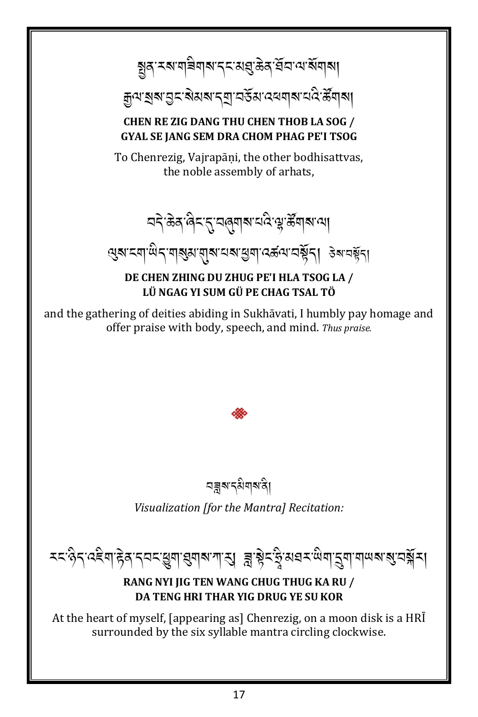য়ৣঽ৾ৼয়য়৾৾য়য়৶ৼ৴ৼয়৾ঀড়ৠৼৢয়৸৻৸ৼৢয়য়

ক্ৰুণ হাৰ গ্ৰহ ৰাসৰ বিভিন্ন প্ৰয়োগ বিদ্যালয়।

#### **CHEN RE ZIG DANG THU CHEN THOB LA SOG / GYAL SE IANG SEM DRA CHOM PHAG PE'I TSOG**

To Chenrezig, Vajrapāni, the other bodhisattvas, the noble assembly of arhats,

<u> यदे ळेव लिट राजल्</u>याबाद्यदे यू र्ढेंगबाल्या

सुबादवायीदावाडुबाबाबादाबाद्यवादस्वयाद्यङ्गेता उबावङ्गेता

DE CHEN ZHING DU ZHUG PE'I HLA TSOG LA / LÜ NGAG YI SUM GÜ PE CHAG TSAL TÖ

and the gathering of deities abiding in Sukhāvati, I humbly pay homage and offer praise with body, speech, and mind. Thus praise.

নন্নুৰুৎমিন্মন্বা

Visualization [for the Mantra] Recitation:

रदाहेन पहेवा हेवान्तर सुषा सुषा बाणा सु वा हेनाडु अवतारी बा सुषा पायबा बा तर्वे ना

#### RANG NYI JIG TEN WANG CHUG THUG KA RU / DA TENG HRI THAR YIG DRUG YE SU KOR

At the heart of myself, [appearing as] Chenrezig, on a moon disk is a HRI surrounded by the six syllable mantra circling clockwise.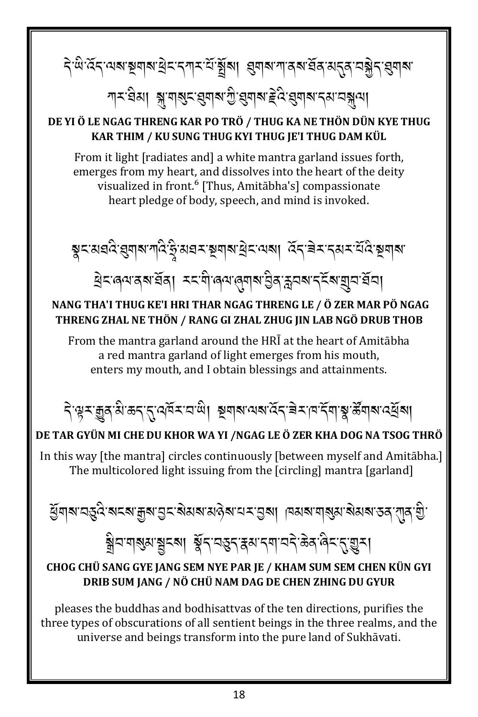# <u> देखे द्रद् अब ब्रेयबाद्यददयादा ब्रेंबा । संबाद जीवन सूर्य संयुद्ध संयुद्ध</u>

শম্প্ৰেন্স স্কুত্ৰাৰুস্থাৰ প্ৰাৰম্ভ বিষ্ণাৰ বিত্ৰা<br>শৰ্মৰ স্বাৰম্ভ বিষ্ণা

#### DE YI Ö LE NGAG THRENG KAR PO TRÖ / THUG KA NE THÖN DÜN KYE THUG KAR THIM / KU SUNG THUG KYI THUG JE'I THUG DAM KÜL

From it light [radiates and] a white mantra garland issues forth, emerges from my heart, and dissolves into the heart of the deity visualized in front.<sup>6</sup> [Thus, Amitabha's] compassionate heart pledge of body, speech, and mind is invoked.

য়ৼয়য়ড়৻য়য়৶য়ড়৻ৼ৾৻য়য়ৼয়য়৸য়ড়৸ৼঢ়৸ৼ৸৸৸৸৸৸৸ ট্ৰমৰেন্যৰ মৰ্ত্তৰ। মমলীৰেন্যৰ্থন্যৰ ইনক্ষম নুৰ্মৰ মানুষদৰী

#### NANG THA'I THUG KE'I HRI THAR NGAG THRENG LE / Ö ZER MAR PÖ NGAG THRENG ZHAL NE THÖN / RANG GI ZHAL ZHUG IIN LAB NGÖ DRUB THOB

From the mantra garland around the HRI at the heart of Amitabha a red mantra garland of light emerges from his mouth, enters my mouth, and I obtain blessings and attainments.



#### DE TAR GYÜN MI CHE DU KHOR WA YI /NGAG LE Ö ZER KHA DOG NA TSOG THRÖ

In this way [the mantra] circles continuously [between myself and Amitabha.] The multicolored light issuing from the [circling] mantra [garland]

ધુવાત્ર તરૂતે ત્રદત્ર મુત્ર તુદ્ર સેયત્ર મહેત્ર તર તુત્રા વિસત્ર વસુસ સેયત્ર કર તુર્વે છે. 

#### CHOG CHỦ SANG GYE JANG SEM NYE PAR JE / KHAM SUM SEM CHEN KỦN GYI DRIB SUM JANG / NÖ CHÜ NAM DAG DE CHEN ZHING DU GYUR

pleases the buddhas and bodhisattvas of the ten directions, purifies the three types of obscurations of all sentient beings in the three realms, and the universe and beings transform into the pure land of Sukhāvati.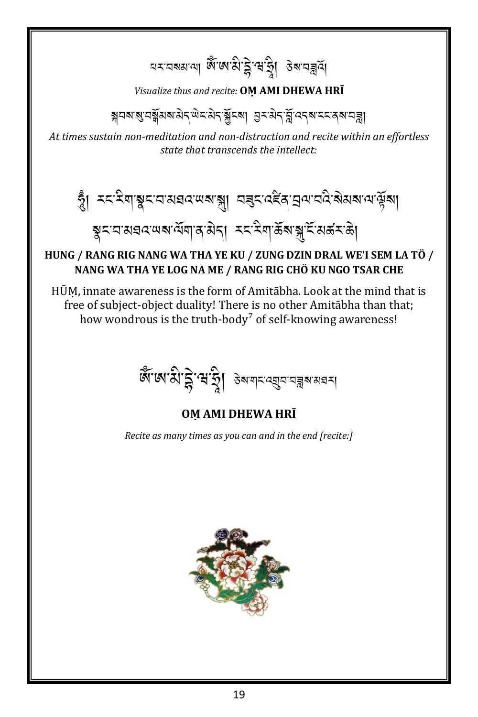### নমনৰ জ্ঞান আৰু বিদ্যালয় কৰা বিদ্যালয়ৰ

#### Visualize thus and recite: OM AMI DHEWA HRI

ब्रुवबाञ्च वङ्गे अबारी बाद्य कर अप के दशक के बाद के बाद के बाद से बाद से बाद के बाद से बाद के बाद से

At times sustain non-meditation and non-distraction and recite within an effortless state that transcends the intellect:

### ষুমঘঝরঝখন মঁমাৰ ঠানা মমমিকা স্কুমিল কা

#### HUNG / RANG RIG NANG WA THA YE KU / ZUNG DZIN DRAL WE'I SEM LA TÖ / NANG WA THA YE LOG NA ME / RANG RIG CHÖ KU NGO TSAR CHE

HŪM, innate awareness is the form of Amitabha. Look at the mind that is free of subject-object duality! There is no other Amitabha than that; how wondrous is the truth-body<sup>7</sup> of self-knowing awareness!

काला से हैं साठी उबायाद बुवावज्ञ बायवन

#### OM AMI DHEWA HRĪ

Recite as many times as you can and in the end [recite:]

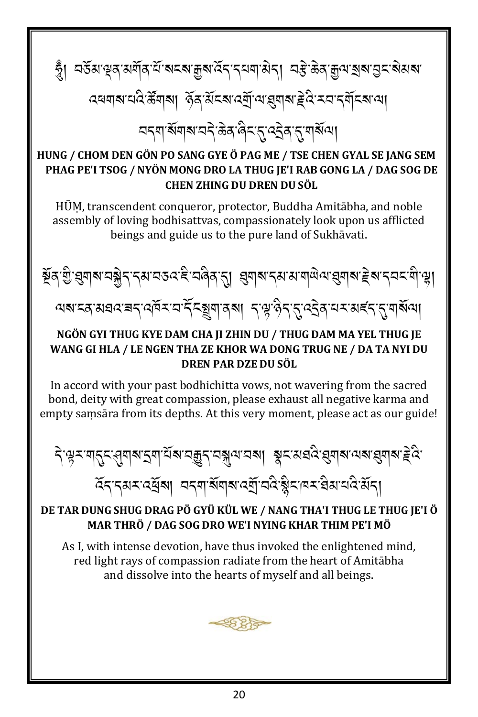ত্ম। বৰ্তুপ্ৰাক্টৰ মন্ত্ৰী আৰু প্ৰাপ্ত কৰি প্ৰাপ্ত বিদ্ৰুত্ত প্ৰাপ্ত কৰি প্ৰাপ্ত কৰি প্ৰাপ্ত কৰি প্ৰ ব্ৰনাৰ নতুন্তুমাৰী পূৰ্বপ্ৰদেশ পৰ্য্য এই বিদ্ৰাৰ প্ৰতিৰোধী <u> यद्द्याञ्चंबाबायदे ऊेवालेदारायदेवारायाञ्च</u>ल

#### HUNG / CHOM DEN GÖN PO SANG GYE Ö PAG ME / TSE CHEN GYAL SE JANG SEM PHAG PE'I TSOG / NYÖN MONG DRO LA THUG JE'I RAB GONG LA / DAG SOG DE CHEN ZHING DU DREN DU SÖL

HŪM, transcendent conqueror, protector, Buddha Amitābha, and noble assembly of loving bodhisattvas, compassionately look upon us afflicted beings and guide us to the pure land of Sukhāvati.



# নৰ বে অধব ৰা বৰ্ত্ত নাই বৰ্ষী এৰা ১.ধি.পূ.পৰ্যৰ নাম পৰ্ট প্ৰিয়ৰ্ত্তা

#### NGÖN GYI THUG KYE DAM CHA JI ZHIN DU / THUG DAM MA YEL THUG JE WANG GI HLA / LE NGEN THA ZE KHOR WA DONG TRUG NE / DA TA NYI DU DREN PAR DZE DU SÖL

In accord with your past bodhichitta yows, not wavering from the sacred bond, deity with great compassion, please exhaust all negative karma and empty samsāra from its depths. At this very moment, please act as our guide!

देख्य-यातुद्भ्याबद्ध्याद्भव्याद्भवार्यक्षयात्रया ब्रूद्रायद्यदेख्याबात्पबाह्याबाह्रदे হিন্দ্ৰমন্ত্ৰীৰা অন্যাৰ্ষযাৰ ব্যাত্ৰই ষ্ট্ৰন্দিন বিৰাঘনিয়ান্

#### DE TAR DUNG SHUG DRAG PÖ GYÜ KÜL WE / NANG THA'I THUG LE THUG JE'I Ö MAR THRÖ / DAG SOG DRO WE'I NYING KHAR THIM PE'I MÖ

As I, with intense devotion, have thus invoked the enlightened mind, red light rays of compassion radiate from the heart of Amitabha and dissolve into the hearts of myself and all beings.

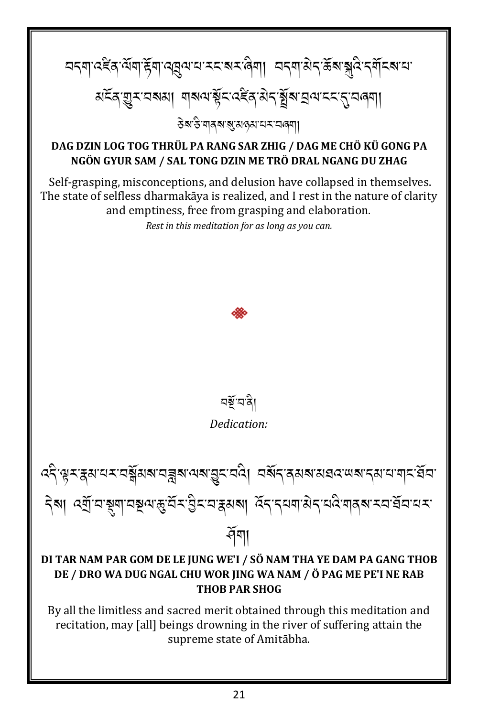

recitation, may [all] beings drowning in the river of suffering attain the supreme state of Amitabha.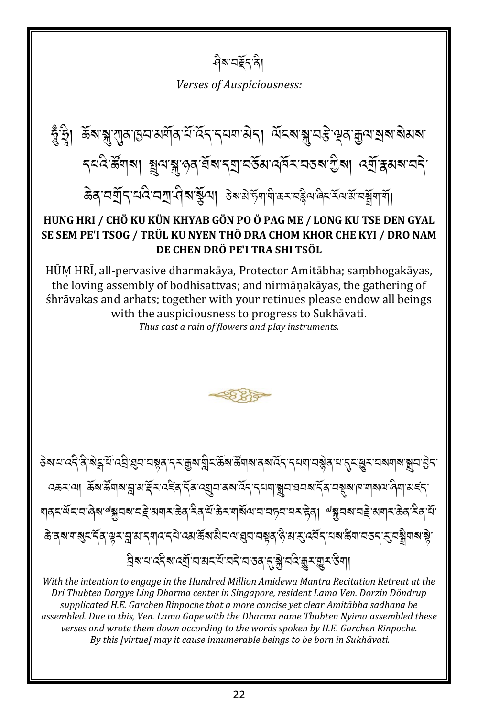ধীম'ন≨ব'ৰী

**Verses of Auspiciousness:** 

ভ্ৰুঁহ্ৰা ক্লম'য়ু যাৰ ভিন্ন পৰ্য্যৰ বুধ প্ৰয়োগৰ বিদেশ স্থাৰ স্থাৰ প্ৰত্য প্ৰয়াৰ প্ৰয়াৰ প্ৰয়া ব্যষ্ট উনাৰা মুন্ম পৰা বিভ্ৰায় প্ৰস্থা বিদ্যালয়ৰ প্ৰাপ্ত কৰি প্ৰাপ্তি ळेव घर्षे[दायदे घरा सेवा युग्या उबसे हॅग गे कर वह्ने यावेद रें यस बावा

#### HUNG HRI / CHÖ KU KÜN KHYAB GÖN PO Ö PAG ME / LONG KU TSE DEN GYAL SE SEM PE'I TSOG / TRÜL KU NYEN THÖ DRA CHOM KHOR CHE KYI / DRO NAM DE CHEN DRÖ PE'I TRA SHI TSÖL

HŪM HRĪ, all-pervasive dharmakāya, Protector Amitābha; sambhogakāyas, the loving assembly of bodhisattyas; and nirmānakāyas, the gathering of śhrāvakas and arhats; together with your retinues please endow all beings with the auspiciousness to progress to Sukhāvati. Thus cast a rain of flowers and play instruments.



<del>ᢃ</del>ॺॱय़ॱढ़ॸऀॱक़ऀॾॣॱय़ॕॱढ़ॺॖऀॱख़ॣय़ॱय़ॺॣॺॱॸॣॱग़ॗॺॱय़ॢऀॸॱक़ॕॺॱक़ॕॺॱक़ॕॺॱॺॺॱॺॺॱॸॣॸॱॺॷॺॱॶॸॱॱड़ॸॱख़ॖॸॱय़ॺॺऻॺॱॿॗय़ॱऄॗॸॱ ৻ঽড়ৼ৻য়৾ৗ৾ড়ড়ৠৠয়৸ৼঀৼ৻ৼ৻ড়ড়৸ৼঀৗ৸৻৸ঀৗ৸৻৸ঀ৸৸৸৸৸ৼৼ৻৸ৼঀ৸ৼ৻৸৸৸৸৸৸ৼৼ৻৸ য়৾৾ঀৼ৻ৢ৻ৼ৸ড়৶ঌৗৼ৶য়ৼড়ড়৸৸ৼড়ঀ৻ৼৢ৻ৼ৻ড়ৼ৸৾য়৽৸৸৸৸৸৸৸৸৸৸৸৸<br>য়৾ৼ৻ড়ৼ৸ড়৶ৼড়৾ৼয়৾ৼঢ়৸ৼৼৼ৸ৼ ङे दब गबुद देव सूर प्लुश्च द्रावाद्य दय उसके बारीद पास्त वस्न है शरु दवें दायब रूपा चरु दुप्त वे गबा से 

With the intention to engage in the Hundred Million Amidewa Mantra Recitation Retreat at the Dri Thubten Dargye Ling Dharma center in Singapore, resident Lama Ven. Dorzin Döndrup supplicated H.E. Garchen Rinpoche that a more concise yet clear Amitābha sadhana be assembled. Due to this, Ven. Lama Gape with the Dharma name Thubten Nyima assembled these verses and wrote them down according to the words spoken by H.E. Garchen Rinpoche. By this [virtue] may it cause innumerable beings to be born in Sukhāvati.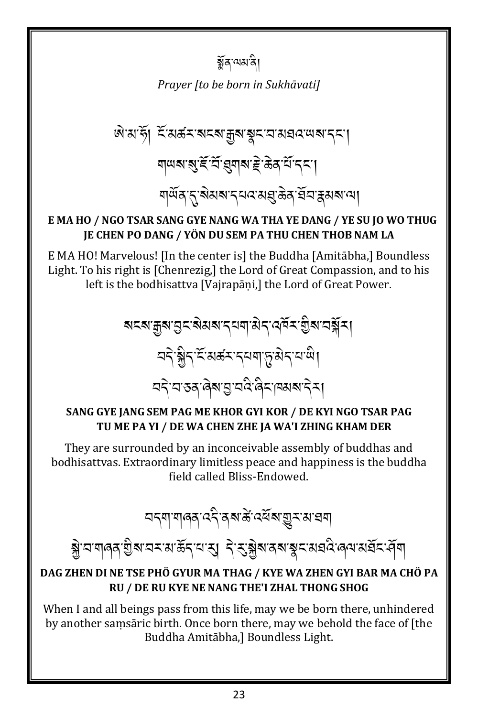### ৰ্ক্সবাত্মজী

Praver Ito be born in Sukhāvatil

#### E MA HO / NGO TSAR SANG GYE NANG WA THA YE DANG / YE SU JO WO THUG JE CHEN PO DANG / YÖN DU SEM PA THU CHEN THOB NAM LA

E MA HO! Marvelous! [In the center is] the Buddha [Amitābha,] Boundless Light. To his right is [Chenrezig,] the Lord of Great Compassion, and to his left is the bodhisattva [Vajrapāni,] the Lord of Great Power.

#### SANG GYE JANG SEM PAG ME KHOR GYI KOR / DE KYI NGO TSAR PAG TU ME PA YI / DE WA CHEN ZHE JA WA'I ZHING KHAM DER

They are surrounded by an inconceivable assembly of buddhas and bodhisattvas. Extraordinary limitless peace and happiness is the buddha field called Bliss-Endowed.

<u>ব</u>দ্মাশৰৰ বহিৰ্মজন্ত্ৰ ৰাজ্য আৰম্

# ब्ले वाणवत् गुरुणवरायाऊँ दाया सु दिञ्जुरुण्यास्य व्यवदे विद्यालय असे दास्

#### DAG ZHEN DI NE TSE PHÖ GYUR MA THAG / KYE WA ZHEN GYI BAR MA CHÖ PA RU / DE RU KYE NE NANG THE'I ZHAL THONG SHOG

When I and all beings pass from this life, may we be born there, unhindered by another samsaric birth. Once born there, may we behold the face of [the Buddha Amitābha,] Boundless Light.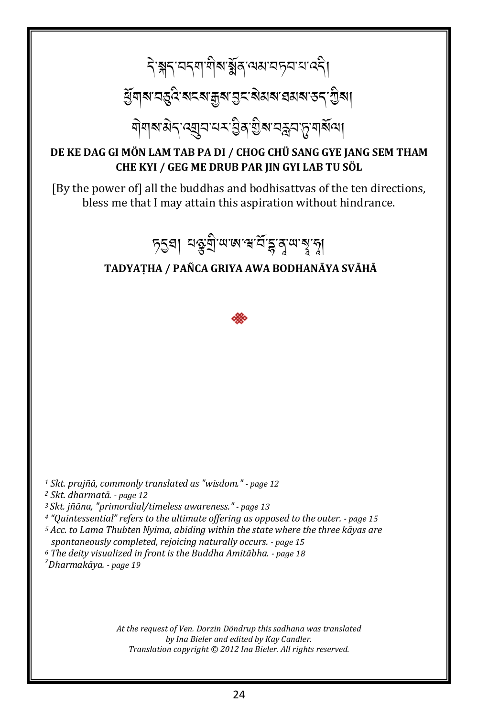# ริสราจรุตุติมสู้สุ ขมวรรายวริ ધુવાત્ર તરુવે ત્રદત્ર મુત્ર ગુદ્ર સેસત્ર વસત્ર ૩૬ શૈત્ર। ঀ৾ঀয়ৼড়ৼ৻ৼয়ৗ৸৻৸ৼ৻ঽৢ৶ড়ৢ৶ৼ৸ৼ৸৻৸৻৸

#### DE KE DAG GI MÖN LAM TAB PA DI / CHOG CHÜ SANG GYE JANG SEM THAM CHE KYI / GEG ME DRUB PAR JIN GYI LAB TU SÖL

[By the power of] all the buddhas and bodhisattvas of the ten directions, bless me that I may attain this aspiration without hindrance.

চ্চুঘা মঞ্জুশ্ৰী অজ্ঞান হাঁহ্লব্ৰ অস্বাস্থা

#### TADYATHA / PAÑCA GRIYA AWA BODHANĀYA SVĀHĀ



<sup>1</sup> Skt. prajñā, commonly translated as "wisdom." - page 12

<sup>2</sup> Skt. dharmatā. - page 12

<sup>3</sup> Skt. jñāna, "primordial/timeless awareness." - page 13

<sup>4</sup> "Quintessential" refers to the ultimate offering as opposed to the outer. - page 15

<sup>5</sup> Acc. to Lama Thubten Nyima, abiding within the state where the three kāyas are spontaneously completed, rejoicing naturally occurs. - page 15

<sup>6</sup> The deity visualized in front is the Buddha Amitābha. - page 18

<sup>7</sup>Dharmakāya. - page 19

At the request of Ven. Dorzin Döndrup this sadhana was translated by Ina Bieler and edited by Kay Candler. Translation copyright © 2012 Ina Bieler. All rights reserved.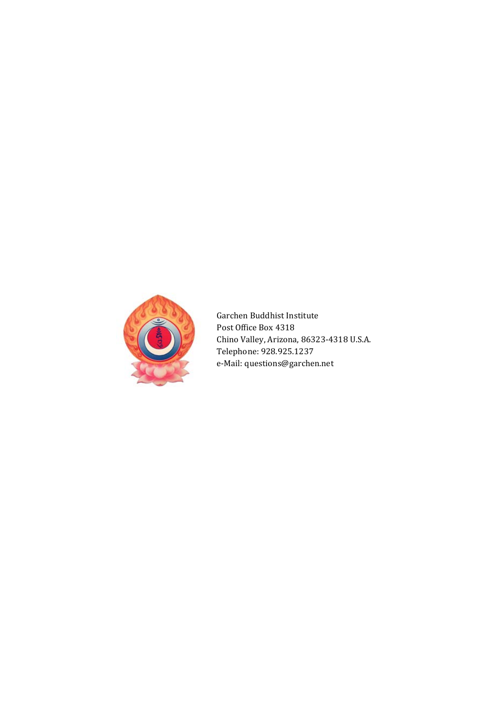

Garchen Buddhist Institute Post Office Box 4318 Chino Valley, Arizona, 86323-4318 U.S.A. Telephone: 928.925.1237 e-Mail: [questions@garchen.net](mailto:questions@garchen.net)